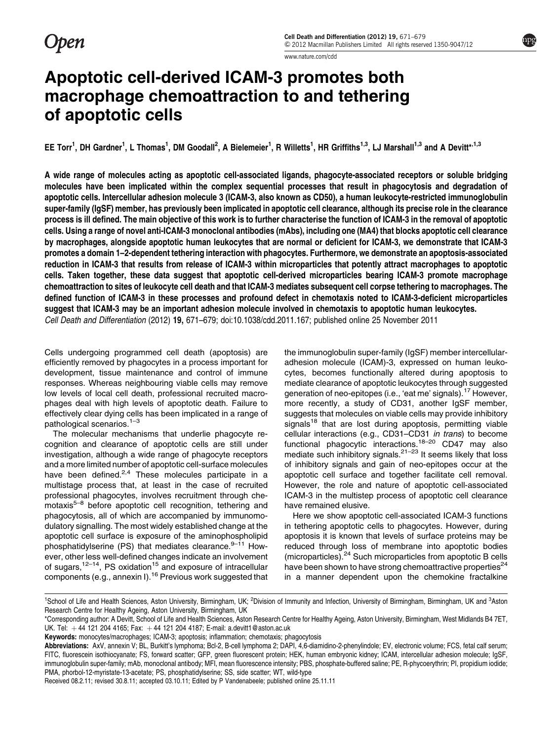**Open** 

[www.nature.com/cdd](http://www.nature.com/cdd)

# Apoptotic cell-derived ICAM-3 promotes both macrophage chemoattraction to and tethering of apoptotic cells

EE Torr<sup>1</sup>, DH Gardner<sup>1</sup>, L Thomas<sup>1</sup>, DM Goodall<sup>2</sup>, A Bielemeier<sup>1</sup>, R Willetts<sup>1</sup>, HR Griffiths<sup>1,3</sup>, LJ Marshall<sup>1,3</sup> and A Devitt\*<sup>,1,3</sup>

A wide range of molecules acting as apoptotic cell-associated ligands, phagocyte-associated receptors or soluble bridging molecules have been implicated within the complex sequential processes that result in phagocytosis and degradation of apoptotic cells. Intercellular adhesion molecule 3 (ICAM-3, also known as CD50), a human leukocyte-restricted immunoglobulin super-family (IgSF) member, has previously been implicated in apoptotic cell clearance, although its precise role in the clearance process is ill defined. The main objective of this work is to further characterise the function of ICAM-3 in the removal of apoptotic cells. Using a range of novel anti-ICAM-3 monoclonal antibodies (mAbs), including one (MA4) that blocks apoptotic cell clearance by macrophages, alongside apoptotic human leukocytes that are normal or deficient for ICAM-3, we demonstrate that ICAM-3 promotes a domain 1–2-dependent tethering interaction with phagocytes. Furthermore, we demonstrate an apoptosis-associated reduction in ICAM-3 that results from release of ICAM-3 within microparticles that potently attract macrophages to apoptotic cells. Taken together, these data suggest that apoptotic cell-derived microparticles bearing ICAM-3 promote macrophage chemoattraction to sites of leukocyte cell death and that ICAM-3 mediates subsequent cell corpse tethering to macrophages. The defined function of ICAM-3 in these processes and profound defect in chemotaxis noted to ICAM-3-deficient microparticles suggest that ICAM-3 may be an important adhesion molecule involved in chemotaxis to apoptotic human leukocytes. Cell Death and Differentiation (2012) 19, 671–679; doi:[10.1038/cdd.2011.167](http://dx.doi.org/10.1038/cdd.2011.167); published online 25 November 2011

Cells undergoing programmed cell death (apoptosis) are efficiently removed by phagocytes in a process important for development, tissue maintenance and control of immune responses. Whereas neighbouring viable cells may remove low levels of local cell death, professional recruited macrophages deal with high levels of apoptotic death. Failure to effectively clear dying cells has been implicated in a range of pathological scenarios.[1–3](#page-8-0)

The molecular mechanisms that underlie phagocyte recognition and clearance of apoptotic cells are still under investigation, although a wide range of phagocyte receptors and a more limited number of apoptotic cell-surface molecules have been defined. $2,4$  These molecules participate in a multistage process that, at least in the case of recruited professional phagocytes, involves recruitment through che-motaxis<sup>[5–8](#page-8-0)</sup> before apoptotic cell recognition, tethering and phagocytosis, all of which are accompanied by immunomodulatory signalling. The most widely established change at the apoptotic cell surface is exposure of the aminophospholipid phosphatidylserine (PS) that mediates clearance. $9-11$  However, other less well-defined changes indicate an involvement of sugars,<sup>[12–14](#page-8-0)</sup>, PS oxidation<sup>[15](#page-8-0)</sup> and exposure of intracellular components (e.g., annexin I).<sup>[16](#page-8-0)</sup> Previous work suggested that

the immunoglobulin super-family (IgSF) member intercellularadhesion molecule (ICAM)-3, expressed on human leukocytes, becomes functionally altered during apoptosis to mediate clearance of apoptotic leukocytes through suggested generation of neo-epitopes (i.e., 'eat me' signals).[17](#page-8-0) However, more recently, a study of CD31, another IgSF member, suggests that molecules on viable cells may provide inhibitory signals<sup>[18](#page-8-0)</sup> that are lost during apoptosis, permitting viable cellular interactions (e.g., CD31–CD31 in trans) to become functional phagocytic interactions.<sup>[18–20](#page-8-0)</sup> CD47 may also mediate such inhibitory signals.<sup> $21-23$ </sup> It seems likely that loss of inhibitory signals and gain of neo-epitopes occur at the apoptotic cell surface and together facilitate cell removal. However, the role and nature of apoptotic cell-associated ICAM-3 in the multistep process of apoptotic cell clearance have remained elusive.

Here we show apoptotic cell-associated ICAM-3 functions in tethering apoptotic cells to phagocytes. However, during apoptosis it is known that levels of surface proteins may be reduced through loss of membrane into apoptotic bodies (microparticles).[24](#page-8-0) Such microparticles from apoptotic B cells have been shown to have strong chemoattractive properties $^{24}$  $^{24}$  $^{24}$ in a manner dependent upon the chemokine fractalkine

<sup>&</sup>lt;sup>1</sup>School of Life and Health Sciences, Aston University, Birmingham, UK; <sup>2</sup>Division of Immunity and Infection, University of Birmingham, Birmingham, UK and <sup>3</sup>Aston Research Centre for Healthy Ageing, Aston University, Birmingham, UK

<sup>\*</sup>Corresponding author: A Devitt, School of Life and Health Sciences, Aston Research Centre for Healthy Ageing, Aston University, Birmingham, West Midlands B4 7ET, UK. Tel:  $+44$  121 204 4165; Fax:  $+44$  121 204 4187; E-mail: [a.devitt1@aston.ac.uk](mailto:a.devitt1@aston.ac.uk)

Keywords: monocytes/macrophages; ICAM-3; apoptosis; inflammation; chemotaxis; phagocytosis

Abbreviations: AxV, annexin V; BL, Burkitt's lymphoma; Bcl-2, B-cell lymphoma 2; DAPI, 4,6-diamidino-2-phenylindole; EV, electronic volume; FCS, fetal calf serum; FITC, fluorescein isothiocyanate; FS, forward scatter; GFP, green fluorescent protein; HEK, human embryonic kidney; ICAM, intercellular adhesion molecule; IgSF, immunoglobulin super-family; mAb, monoclonal antibody; MFI, mean fluorescence intensity; PBS, phosphate-buffered saline; PE, R-phycoerythrin; PI, propidium iodide; PMA, phorbol-12-myristate-13-acetate; PS, phosphatidylserine; SS, side scatter; WT, wild-type

Received 08.2.11; revised 30.8.11; accepted 03.10.11; Edited by P Vandenabeele; published online 25.11.11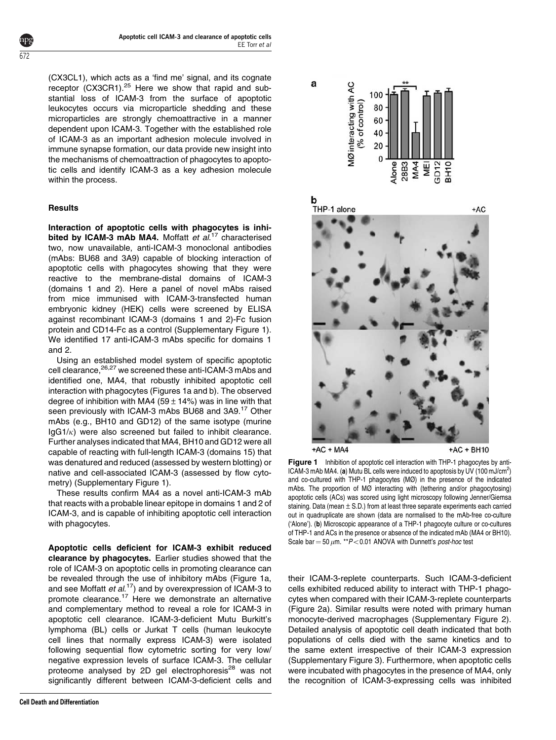(CX3CL1), which acts as a 'find me' signal, and its cognate receptor (CX3CR1).<sup>[25](#page-8-0)</sup> Here we show that rapid and substantial loss of ICAM-3 from the surface of apoptotic leukocytes occurs via microparticle shedding and these microparticles are strongly chemoattractive in a manner dependent upon ICAM-3. Together with the established role of ICAM-3 as an important adhesion molecule involved in immune synapse formation, our data provide new insight into the mechanisms of chemoattraction of phagocytes to apoptotic cells and identify ICAM-3 as a key adhesion molecule within the process.

## **Results**

Interaction of apoptotic cells with phagocytes is inhi-bited by ICAM-3 mAb MA4. Moffatt et al.<sup>[17](#page-8-0)</sup> characterised two, now unavailable, anti-ICAM-3 monoclonal antibodies (mAbs: BU68 and 3A9) capable of blocking interaction of apoptotic cells with phagocytes showing that they were reactive to the membrane-distal domains of ICAM-3 (domains 1 and 2). Here a panel of novel mAbs raised from mice immunised with ICAM-3-transfected human embryonic kidney (HEK) cells were screened by ELISA against recombinant ICAM-3 (domains 1 and 2)-Fc fusion protein and CD14-Fc as a control (Supplementary Figure 1). We identified 17 anti-ICAM-3 mAbs specific for domains 1 and 2.

Using an established model system of specific apoptotic cell clearance, <sup>26,27</sup> we screened these anti-ICAM-3 mAbs and identified one, MA4, that robustly inhibited apoptotic cell interaction with phagocytes (Figures 1a and b). The observed degree of inhibition with MA4 (59  $\pm$  14%) was in line with that [seen](#page-8-0) [previously](#page-8-0) [with](#page-8-0) [ICAM-3](#page-8-0) [mAbs](#page-8-0) [BU68](#page-8-0) [and](#page-8-0) 3A9.<sup>17</sup> Other mAbs (e.g., BH10 and GD12) of the same isotype (murine  $IqG1/\kappa$ ) were also screened but failed to inhibit clearance. Further analyses indicated that MA4, BH10 and GD12 were all capable of reacting with full-length ICAM-3 (domains 15) that was denatured and reduced (assessed by western blotting) or native and cell-associated ICAM-3 (assessed by flow cytometry) (Supplementary Figure 1).

These results confirm MA4 as a novel anti-ICAM-3 mAb that reacts with a probable linear epitope in domains 1 and 2 of ICAM-3, and is capable of inhibiting apoptotic cell interaction with phagocytes.

Apoptotic cells deficient for ICAM-3 exhibit reduced clearance by phagocytes. Earlier studies showed that the role of ICAM-3 on apoptotic cells in promoting clearance can be revealed through the use of inhibitory mAbs (Figure 1a, [and](#page-8-0) [see](#page-8-0) [Moffatt](#page-8-0) et al.<sup>17</sup>) and by overexpression of ICAM-3 to promote clearance.<sup>17</sup> Here we demonstrate an alternative and complementary method to reveal a role for ICAM-3 in apoptotic cell clearance. ICAM-3-deficient Mutu Burkitt's lymphoma (BL) cells or Jurkat T cells (human leukocyte cell lines that normally express ICAM-3) were isolated following sequential flow cytometric sorting for very low/ negative expression levels of surface ICAM-3. The cellular proteome analysed by 2D gel electrophoresis<sup>[28](#page-8-0)</sup> was not significantly different between ICAM-3-deficient cells and



 $+AC + MA4$ 

b

+AC + BH10

**Figure 1** Inhibition of apoptotic cell interaction with THP-1 phagocytes by anti-ICAM-3 mAb MA4. (a) Mutu BL cells were induced to apoptosis by UV (100 mJ/cm<sup>2</sup>) and co-cultured with THP-1 phagocytes (MØ) in the presence of the indicated mAbs. The proportion of MØ interacting with (tethering and/or phagocytosing) apoptotic cells (ACs) was scored using light microscopy following Jenner/Giemsa staining. Data (mean  $\pm$  S.D.) from at least three separate experiments each carried out in quadruplicate are shown (data are normalised to the mAb-free co-culture ('Alone'). (b) Microscopic appearance of a THP-1 phagocyte culture or co-cultures of THP-1 and ACs in the presence or absence of the indicated mAb (MA4 or BH10). Scale bar = 50  $\mu$ m. \*\* P < 0.01 ANOVA with Dunnett's post-hoc test

their ICAM-3-replete counterparts. Such ICAM-3-deficient cells exhibited reduced ability to interact with THP-1 phagocytes when compared with their ICAM-3-replete counterparts ([Figure 2a\). Similar results were noted with primary human](#page-2-0) [monocyte-derived macrophages \(Supplementary Figure 2\).](#page-2-0) [Detailed analysis of apoptotic cell death indicated that both](#page-2-0) [populations of cells died with the same kinetics and to](#page-2-0) [the same extent irrespective of their ICAM-3 expression](#page-2-0) [\(Supplementary Figure 3\). Furthermore, when apoptotic cells](#page-2-0) [were incubated with phagocytes in the presence of MA4, only](#page-2-0) [the recognition of ICAM-3-expressing cells was inhibited](#page-2-0)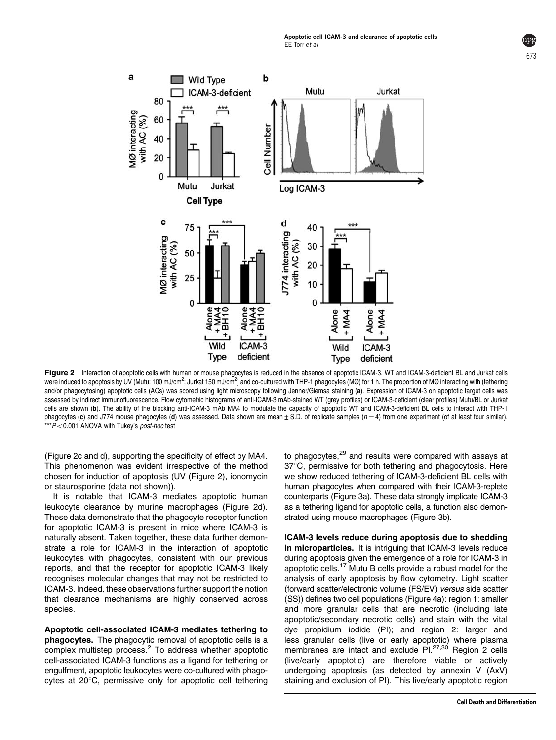



Figure 2 Interaction of apoptotic cells with human or mouse phagocytes is reduced in the absence of apoptotic ICAM-3. WT and ICAM-3-deficient BL and Jurkat cells were induced to apoptosis by UV (Mutu: 100 mJ/cm<sup>2</sup>; Jurkat 150 mJ/cm<sup>2</sup>) and co-cultured with THP-1 phagocytes (MØ) for 1 h. The proportion of MØ interacting with (tethering and/or phagocytosing) apoptotic cells (ACs) was scored using light microscopy following Jenner/Giemsa staining (a). Expression of ICAM-3 on apoptotic target cells was assessed by indirect immunofluorescence. Flow cytometric histograms of anti-ICAM-3 mAb-stained WT (grey profiles) or ICAM-3-deficient (clear profiles) Mutu/BL or Jurkat cells are shown (b). The ability of the blocking anti-ICAM-3 mAb MA4 to modulate the capacity of apoptotic WT and ICAM-3-deficient BL cells to interact with THP-1 phagocytes (c) and J774 mouse phagocytes (d) was assessed. Data shown are mean  $\pm$  S.D. of replicate samples ( $n=4$ ) from one experiment (of at least four similar).  $***P<0.001$  ANOVA with Tukey's post-hoc test

(Figure 2c and d), supporting the specificity of effect by MA4. This phenomenon was evident irrespective of the method chosen for induction of apoptosis (UV (Figure 2), ionomycin or staurosporine (data not shown)).

<span id="page-2-0"></span>a

MØ interacting<br>with AC (%)

**The Company** 

80

60

40

20  $\Omega$ 

It is notable that ICAM-3 mediates apoptotic human leukocyte clearance by murine macrophages (Figure 2d). These data demonstrate that the phagocyte receptor function for apoptotic ICAM-3 is present in mice where ICAM-3 is naturally absent. Taken together, these data further demonstrate a role for ICAM-3 in the interaction of apoptotic leukocytes with phagocytes, consistent with our previous reports, and that the receptor for apoptotic ICAM-3 likely recognises molecular changes that may not be restricted to ICAM-3. Indeed, these observations further support the notion that clearance mechanisms are highly conserved across species.

Apoptotic cell-associated ICAM-3 mediates tethering to phagocytes. The phagocytic removal of apoptotic cells is a complex multistep process.[2](#page-8-0) To address whether apoptotic cell-associated ICAM-3 functions as a ligand for tethering or engulfment, apoptotic leukocytes were co-cultured with phagocytes at  $20^{\circ}$ C, permissive only for apoptotic cell tethering

to phagocytes, $29$  and results were compared with assays at 37°C, permissive for both tethering and phagocytosis. Here we show reduced tethering of ICAM-3-deficient BL cells with human phagocytes when compared with their ICAM-3-replete counterparts [\(Figure 3a\). These data strongly implicate ICAM-3](#page-3-0) [as a tethering ligand for apoptotic cells, a function also demon](#page-3-0)[strated using mouse macrophages \(Figure 3b\).](#page-3-0)

ICAM-3 levels reduce during apoptosis due to shedding in microparticles. It is intriguing that ICAM-3 levels reduce during apoptosis given the emergence of a role for ICAM-3 in apoptotic cells.[17](#page-8-0) Mutu B cells provide a robust model for the analysis of early apoptosis by flow cytometry. Light scatter (forward scatter/electronic volume (FS/EV) versus side scatter (SS)) defines two cell populations [\(Figure 4a\): region 1: smaller](#page-4-0) [and more granular cells that are necrotic \(including late](#page-4-0) [apoptotic/secondary necrotic cells\) and stain with the vital](#page-4-0) [dye propidium iodide \(PI\); and region 2: larger and](#page-4-0) [less granular cells \(live or early apoptotic\) where plasma](#page-4-0) [membranes](#page-8-0) [are](#page-8-0) [intact](#page-8-0) [and](#page-8-0) [exclude](#page-8-0) PI.<sup>27,30</sup> Region 2 cells (live/early apoptotic) are therefore viable or actively undergoing apoptosis (as detected by annexin V (AxV) staining and exclusion of PI). This live/early apoptotic region

 $b/3$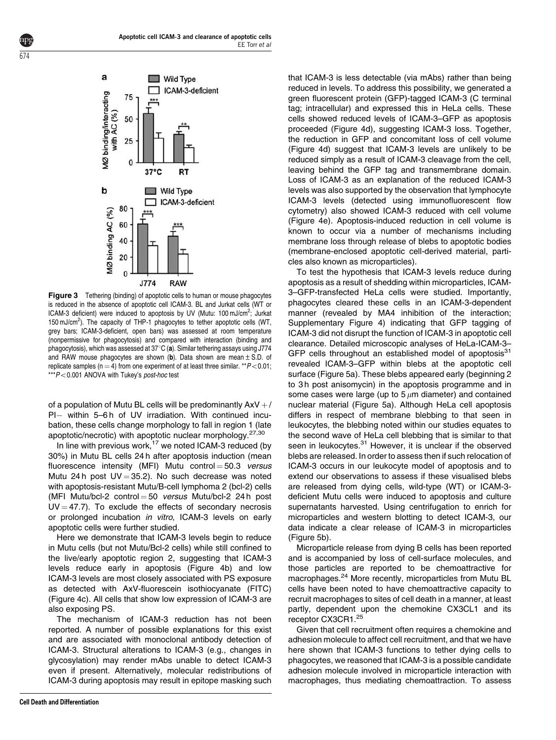

<span id="page-3-0"></span>674

**Figure 3** Tethering (binding) of apoptotic cells to human or mouse phagocytes is reduced in the absence of apoptotic cell ICAM-3. BL and Jurkat cells (WT or ICAM-3 deficient) were induced to apoptosis by UV (Mutu: 100 mJ/cm<sup>2</sup>; Jurkat 150 mJ/cm2 ). The capacity of THP-1 phagocytes to tether apoptotic cells (WT, grey bars; ICAM-3-deficient, open bars) was assessed at room temperature (nonpermissive for phagocytosis) and compared with interaction (binding and phagocytosis), which was assessed at  $37^{\circ}$ C (a). Similar tethering assays using J774 and RAW mouse phagocytes are shown (b). Data shown are mean  $\pm$  S.D. of replicate samples ( $n = 4$ ) from one experiment of at least three similar. \*\* $P < 0.01$ ;  $***P<0.001$  ANOVA with Tukey's post-hoc test

of a population of Mutu BL cells will be predominantly  $AxV + /$ PI- within 5-6h of UV irradiation. With continued incubation, these cells change morphology to fall in region 1 (late apoptotic/necrotic) with apoptotic nuclear morphology.[27,30](#page-8-0)

In line with previous work, $17$  we noted ICAM-3 reduced (by 30%) in Mutu BL cells 24 h after apoptosis induction (mean fluorescence intensity (MFI) Mutu control  $=$  50.3 versus Mutu 24 h post  $UV = 35.2$ ). No such decrease was noted with apoptosis-resistant Mutu/B-cell lymphoma 2 (bcl-2) cells (MFI Mutu/bcl-2 control  $=$  50 versus Mutu/bcl-2 24 h post  $UV = 47.7$ ). To exclude the effects of secondary necrosis or prolonged incubation in vitro, ICAM-3 levels on early apoptotic cells were further studied.

Here we demonstrate that ICAM-3 levels begin to reduce in Mutu cells (but not Mutu/Bcl-2 cells) while still confined to the live/early apoptotic region 2, suggesting that ICAM-3 levels reduce early in apoptosis ([Figure 4b\) and low](#page-4-0) [ICAM-3 levels are most closely associated with PS exposure](#page-4-0) [as detected with AxV-fluorescein isothiocyanate \(FITC\)](#page-4-0) [\(Figure 4c\). All cells that show low expression of ICAM-3 are](#page-4-0) [also exposing PS.](#page-4-0)

The mechanism of ICAM-3 reduction has not been reported. A number of possible explanations for this exist and are associated with monoclonal antibody detection of ICAM-3. Structural alterations to ICAM-3 (e.g., changes in glycosylation) may render mAbs unable to detect ICAM-3 even if present. Alternatively, molecular redistributions of ICAM-3 during apoptosis may result in epitope masking such that ICAM-3 is less detectable (via mAbs) rather than being reduced in levels. To address this possibility, we generated a green fluorescent protein (GFP)-tagged ICAM-3 (C terminal tag; intracellular) and expressed this in HeLa cells. These cells showed reduced levels of ICAM-3–GFP as apoptosis proceeded ([Figure 4d\), suggesting ICAM-3 loss. Together,](#page-4-0) [the reduction in GFP and concomitant loss of cell volume](#page-4-0) [\(Figure 4d\) suggest that ICAM-3 levels are unlikely to be](#page-4-0) [reduced simply as a result of ICAM-3 cleavage from the cell,](#page-4-0) [leaving behind the GFP tag and transmembrane domain.](#page-4-0) [Loss of ICAM-3 as an explanation of the reduced ICAM-3](#page-4-0) [levels was also supported by the observation that lymphocyte](#page-4-0) [ICAM-3 levels \(detected using immunofluorescent flow](#page-4-0) [cytometry\) also showed ICAM-3 reduced with cell volume](#page-4-0) [\(Figure 4e\). Apoptosis-induced reduction in cell volume is](#page-4-0) [known to occur via a number of mechanisms including](#page-4-0) [membrane loss through release of blebs to apoptotic bodies](#page-4-0) [\(membrane-enclosed apoptotic cell-derived material, parti](#page-4-0)[cles also known as microparticles\).](#page-4-0)

To test the hypothesis that ICAM-3 levels reduce during apoptosis as a result of shedding within microparticles, ICAM-3–GFP-transfected HeLa cells were studied. Importantly, phagocytes cleared these cells in an ICAM-3-dependent manner (revealed by MA4 inhibition of the interaction; Supplementary Figure 4) indicating that GFP tagging of ICAM-3 did not disrupt the function of ICAM-3 in apoptotic cell clearance. Detailed microscopic analyses of HeLa-ICAM-3– GFP cells throughout an established model of apoptosis<sup>[31](#page-8-0)</sup> revealed ICAM-3–GFP within blebs at the apoptotic cell surface [\(Figure 5a\). These blebs appeared early \(beginning 2](#page-5-0) [to 3 h post anisomycin\) in the apoptosis programme and in](#page-5-0) some cases were large (up to  $5 \mu m$  diameter) and contained [nuclear material \(Figure 5a\). Although HeLa cell apoptosis](#page-5-0) [differs in respect of membrane blebbing to that seen in](#page-5-0) [leukocytes, the blebbing noted within our studies equates to](#page-5-0) [the second wave of HeLa cell blebbing that is similar to that](#page-5-0) [seen](#page-8-0) [in](#page-8-0) [leukocytes.](#page-8-0)<sup>31</sup> However, it is unclear if the observed blebs are released. In order to assess then if such relocation of ICAM-3 occurs in our leukocyte model of apoptosis and to extend our observations to assess if these visualised blebs are released from dying cells, wild-type (WT) or ICAM-3 deficient Mutu cells were induced to apoptosis and culture supernatants harvested. Using centrifugation to enrich for microparticles and western blotting to detect ICAM-3, our data indicate a clear release of ICAM-3 in microparticles ([Figure 5b\).](#page-5-0)

Microparticle release from dying B cells has been reported and is accompanied by loss of cell-surface molecules, and those particles are reported to be chemoattractive for macrophages.<sup>24</sup> More recently, microparticles from Mutu BL cells have been noted to have chemoattractive capacity to recruit macrophages to sites of cell death in a manner, at least partly, dependent upon the chemokine CX3CL1 and its receptor CX3CR1.[25](#page-8-0)

Given that cell recruitment often requires a chemokine and adhesion molecule to affect cell recruitment, and that we have here shown that ICAM-3 functions to tether dying cells to phagocytes, we reasoned that ICAM-3 is a possible candidate adhesion molecule involved in microparticle interaction with macrophages, thus mediating chemoattraction. To assess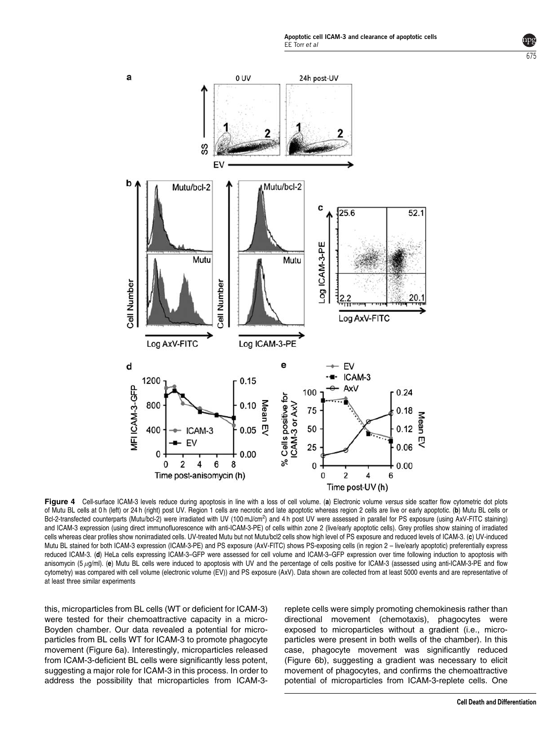

<span id="page-4-0"></span>

Figure 4 Cell-surface ICAM-3 levels reduce during apoptosis in line with a loss of cell volume. (a) Electronic volume versus side scatter flow cytometric dot plots of Mutu BL cells at 0 h (left) or 24 h (right) post UV. Region 1 cells are necrotic and late apoptotic whereas region 2 cells are live or early apoptotic. (b) Mutu BL cells or Bcl-2-transfected counterparts (Mutu/bcl-2) were irradiated with UV (100 mJ/cm<sup>2</sup>) and 4 h post UV were assessed in parallel for PS exposure (using AxV-FITC staining) and ICAM-3 expression (using direct immunofluorescence with anti-ICAM-3-PE) of cells within zone 2 (live/early apoptotic cells). Grey profiles show staining of irradiated cells whereas clear profiles show nonirradiated cells. UV-treated Mutu but not Mutu/bcl2 cells show high level of PS exposure and reduced levels of ICAM-3. (c) UV-induced Mutu BL stained for both ICAM-3 expression (ICAM-3-PE) and PS exposure (AxV-FITC) shows PS-exposing cells (in region 2 – live/early apoptotic) preferentially express reduced ICAM-3. (d) HeLa cells expressing ICAM-3–GFP were assessed for cell volume and ICAM-3–GFP expression over time following induction to apoptosis with anisomycin (5  $\mu$ g/ml). (e) Mutu BL cells were induced to apoptosis with UV and the percentage of cells positive for ICAM-3 (assessed using anti-ICAM-3-PE and flow cytometry) was compared with cell volume (electronic volume (EV)) and PS exposure (AxV). Data shown are collected from at least 5000 events and are representative of at least three similar experiments

this, microparticles from BL cells (WT or deficient for ICAM-3) were tested for their chemoattractive capacity in a micro-Boyden chamber. Our data revealed a potential for microparticles from BL cells WT for ICAM-3 to promote phagocyte movement [\(Figure 6a\). Interestingly, microparticles released](#page-5-0) [from ICAM-3-deficient BL cells were significantly less potent,](#page-5-0) [suggesting a major role for ICAM-3 in this process. In order to](#page-5-0) [address the possibility that microparticles from ICAM-3-](#page-5-0)

[replete cells were simply promoting chemokinesis rather than](#page-5-0) [directional movement \(chemotaxis\), phagocytes were](#page-5-0) [exposed to microparticles without a gradient \(i.e., micro](#page-5-0)[particles were present in both wells of the chamber\). In this](#page-5-0) [case, phagocyte movement was significantly reduced](#page-5-0) [\(Figure 6b\), suggesting a gradient was necessary to elicit](#page-5-0) [movement of phagocytes, and confirms the chemoattractive](#page-5-0) [potential of microparticles from ICAM-3-replete cells. One](#page-5-0)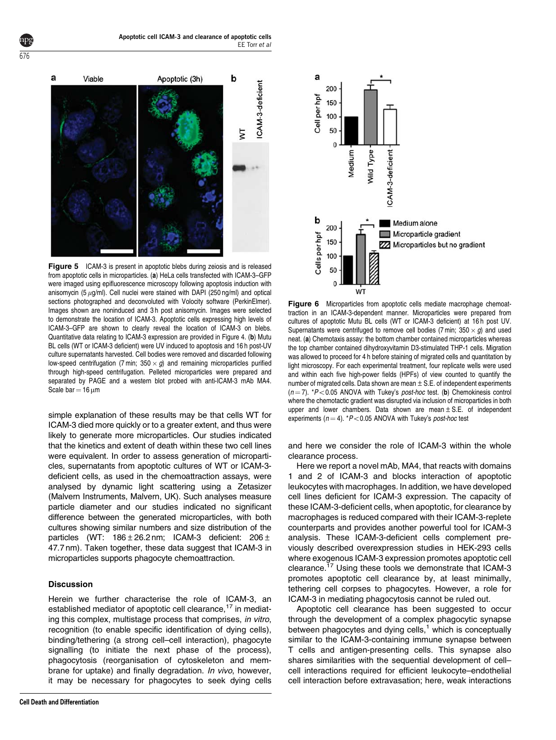<span id="page-5-0"></span>

Figure 5 ICAM-3 is present in apoptotic blebs during zeiosis and is released from apoptotic cells in microparticles. (a) HeLa cells transfected with ICAM-3–GFP were imaged using epifluorescence microscopy following apoptosis induction with anisomycin (5  $\mu$ g/ml). Cell nuclei were stained with DAPI (250 ng/ml) and optical sections photographed and deconvoluted with Volocity software (PerkinElmer). Images shown are noninduced and 3 h post anisomycin. Images were selected to demonstrate the location of ICAM-3. Apoptotic cells expressing high levels of ICAM-3–GFP are shown to clearly reveal the location of ICAM-3 on blebs. Quantitative data relating to ICAM-3 expression are provided in [Figure 4. \(](#page-4-0)b) Mutu [BL cells \(WT or ICAM-3 deficient\) were UV induced to apoptosis and 16 h post-UV](#page-4-0) [culture supernatants harvested. Cell bodies were removed and discarded following](#page-4-0) low-speed centrifugation (7 min;  $350 \times g$ [\) and remaining microparticles purified](#page-4-0) [through high-speed centrifugation. Pelleted microparticles were prepared and](#page-4-0) [separated by PAGE and a western blot probed with anti-ICAM-3 mAb MA4.](#page-4-0) [Scale bar](#page-4-0) =  $16 \mu m$  $16 \mu m$ 

simple explanation of these results may be that cells WT for ICAM-3 died more quickly or to a greater extent, and thus were likely to generate more microparticles. Our studies indicated that the kinetics and extent of death within these two cell lines were equivalent. In order to assess generation of microparticles, supernatants from apoptotic cultures of WT or ICAM-3 deficient cells, as used in the chemoattraction assays, were analysed by dynamic light scattering using a Zetasizer (Malvern Instruments, Malvern, UK). Such analyses measure particle diameter and our studies indicated no significant difference between the generated microparticles, with both cultures showing similar numbers and size distribution of the particles (WT:  $186 \pm 26.2$  nm; ICAM-3 deficient:  $206 \pm$ 47.7 nm). Taken together, these data suggest that ICAM-3 in microparticles supports phagocyte chemoattraction.

## Discussion

Herein we further characterise the role of ICAM-3, an established mediator of apoptotic cell clearance,<sup>[17](#page-8-0)</sup> in mediating this complex, multistage process that comprises, in vitro, recognition (to enable specific identification of dying cells), binding/tethering (a strong cell–cell interaction), phagocyte signalling (to initiate the next phase of the process), phagocytosis (reorganisation of cytoskeleton and membrane for uptake) and finally degradation. In vivo, however, it may be necessary for phagocytes to seek dying cells



Figure 6 Microparticles from apoptotic cells mediate macrophage chemoattraction in an ICAM-3-dependent manner. Microparticles were prepared from

cultures of apoptotic Mutu BL cells (WT or ICAM-3 deficient) at 16 h post UV. Supernatants were centrifuged to remove cell bodies (7 min;  $350 \times g$ ) and used neat. (a) Chemotaxis assay: the bottom chamber contained microparticles whereas the top chamber contained dihydroxyvitamin D3-stimulated THP-1 cells. Migration was allowed to proceed for 4 h before staining of migrated cells and quantitation by light microscopy. For each experimental treatment, four replicate wells were used and within each five high-power fields (HPFs) of view counted to quantify the number of migrated cells. Data shown are mean  $\pm$  S.E. of independent experiments  $(n = 7)$ . \*P<0.05 ANOVA with Tukey's post-hoc test. (b) Chemokinesis control where the chemotactic gradient was disrupted via inclusion of microparticles in both upper and lower chambers. Data shown are mean $\pm$  S.E. of independent experiments ( $n = 4$ ). \*P<0.05 ANOVA with Tukey's post-hoc test

and here we consider the role of ICAM-3 within the whole clearance process.

Here we report a novel mAb, MA4, that reacts with domains 1 and 2 of ICAM-3 and blocks interaction of apoptotic leukocytes with macrophages. In addition, we have developed cell lines deficient for ICAM-3 expression. The capacity of these ICAM-3-deficient cells, when apoptotic, for clearance by macrophages is reduced compared with their ICAM-3-replete counterparts and provides another powerful tool for ICAM-3 analysis. These ICAM-3-deficient cells complement previously described overexpression studies in HEK-293 cells where exogenous ICAM-3 expression promotes apoptotic cell clearance[.17](#page-8-0) Using these tools we demonstrate that ICAM-3 promotes apoptotic cell clearance by, at least minimally, tethering cell corpses to phagocytes. However, a role for ICAM-3 in mediating phagocytosis cannot be ruled out.

Apoptotic cell clearance has been suggested to occur through the development of a complex phagocytic synapse between phagocytes and dying cells, $<sup>1</sup>$  $<sup>1</sup>$  $<sup>1</sup>$  which is conceptually</sup> similar to the ICAM-3-containing immune synapse between T cells and antigen-presenting cells. This synapse also shares similarities with the sequential development of cell– cell interactions required for efficient leukocyte–endothelial cell interaction before extravasation; here, weak interactions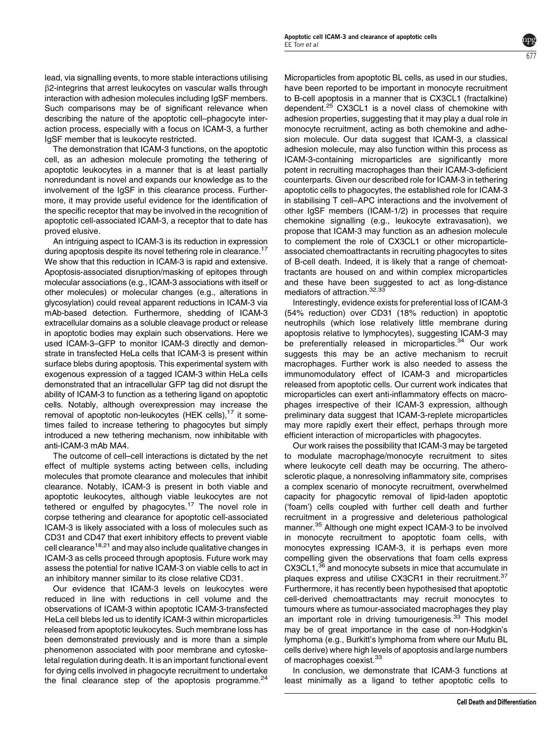lead, via signalling events, to more stable interactions utilising b2-integrins that arrest leukocytes on vascular walls through interaction with adhesion molecules including IgSF members. Such comparisons may be of significant relevance when describing the nature of the apoptotic cell–phagocyte interaction process, especially with a focus on ICAM-3, a further IgSF member that is leukocyte restricted.

The demonstration that ICAM-3 functions, on the apoptotic cell, as an adhesion molecule promoting the tethering of apoptotic leukocytes in a manner that is at least partially nonredundant is novel and expands our knowledge as to the involvement of the IgSF in this clearance process. Furthermore, it may provide useful evidence for the identification of the specific receptor that may be involved in the recognition of apoptotic cell-associated ICAM-3, a receptor that to date has proved elusive.

An intriguing aspect to ICAM-3 is its reduction in expression during apoptosis despite its novel tethering role in clearance.<sup>[17](#page-8-0)</sup> We show that this reduction in ICAM-3 is rapid and extensive. Apoptosis-associated disruption/masking of epitopes through molecular associations (e.g., ICAM-3 associations with itself or other molecules) or molecular changes (e.g., alterations in glycosylation) could reveal apparent reductions in ICAM-3 via mAb-based detection. Furthermore, shedding of ICAM-3 extracellular domains as a soluble cleavage product or release in apoptotic bodies may explain such observations. Here we used ICAM-3–GFP to monitor ICAM-3 directly and demonstrate in transfected HeLa cells that ICAM-3 is present within surface blebs during apoptosis. This experimental system with exogenous expression of a tagged ICAM-3 within HeLa cells demonstrated that an intracellular GFP tag did not disrupt the ability of ICAM-3 to function as a tethering ligand on apoptotic cells. Notably, although overexpression may increase the removal of apoptotic non-leukocytes (HEK cells), $^{17}$  it sometimes failed to increase tethering to phagocytes but simply introduced a new tethering mechanism, now inhibitable with anti-ICAM-3 mAb MA4.

The outcome of cell–cell interactions is dictated by the net effect of multiple systems acting between cells, including molecules that promote clearance and molecules that inhibit clearance. Notably, ICAM-3 is present in both viable and apoptotic leukocytes, although viable leukocytes are not tethered or engulfed by phagocytes.<sup>[17](#page-8-0)</sup> The novel role in corpse tethering and clearance for apoptotic cell-associated ICAM-3 is likely associated with a loss of molecules such as CD31 and CD47 that exert inhibitory effects to prevent viable cell clearance<sup>[18,21](#page-8-0)</sup> and may also include qualitative changes in ICAM-3 as cells proceed through apoptosis. Future work may assess the potential for native ICAM-3 on viable cells to act in an inhibitory manner similar to its close relative CD31.

Our evidence that ICAM-3 levels on leukocytes were reduced in line with reductions in cell volume and the observations of ICAM-3 within apoptotic ICAM-3-transfected HeLa cell blebs led us to identify ICAM-3 within microparticles released from apoptotic leukocytes. Such membrane loss has been demonstrated previously and is more than a simple phenomenon associated with poor membrane and cytoskeletal regulation during death. It is an important functional event for dying cells involved in phagocyte recruitment to undertake the final clearance step of the apoptosis programme. $24$ 

Microparticles from apoptotic BL cells, as used in our studies, have been reported to be important in monocyte recruitment to B-cell apoptosis in a manner that is CX3CL1 (fractalkine) dependent.<sup>[25](#page-8-0)</sup> CX3CL1 is a novel class of chemokine with adhesion properties, suggesting that it may play a dual role in monocyte recruitment, acting as both chemokine and adhesion molecule. Our data suggest that ICAM-3, a classical adhesion molecule, may also function within this process as ICAM-3-containing microparticles are significantly more potent in recruiting macrophages than their ICAM-3-deficient counterparts. Given our described role for ICAM-3 in tethering apoptotic cells to phagocytes, the established role for ICAM-3 in stabilising T cell–APC interactions and the involvement of other IgSF members (ICAM-1/2) in processes that require chemokine signalling (e.g., leukocyte extravasation), we propose that ICAM-3 may function as an adhesion molecule to complement the role of CX3CL1 or other microparticleassociated chemoattractants in recruiting phagocytes to sites of B-cell death. Indeed, it is likely that a range of chemoattractants are housed on and within complex microparticles and these have been suggested to act as long-distance mediators of attraction.<sup>[32,33](#page-8-0)</sup>

 $6/7$ 

Interestingly, evidence exists for preferential loss of ICAM-3 (54% reduction) over CD31 (18% reduction) in apoptotic neutrophils (which lose relatively little membrane during apoptosis relative to lymphocytes), suggesting ICAM-3 may be preferentially released in microparticles.<sup>[34](#page-8-0)</sup> Our work suggests this may be an active mechanism to recruit macrophages. Further work is also needed to assess the immunomodulatory effect of ICAM-3 and microparticles released from apoptotic cells. Our current work indicates that microparticles can exert anti-inflammatory effects on macrophages irrespective of their ICAM-3 expression, although preliminary data suggest that ICAM-3-replete microparticles may more rapidly exert their effect, perhaps through more efficient interaction of microparticles with phagocytes.

Our work raises the possibility that ICAM-3 may be targeted to modulate macrophage/monocyte recruitment to sites where leukocyte cell death may be occurring. The atherosclerotic plaque, a nonresolving inflammatory site, comprises a complex scenario of monocyte recruitment, overwhelmed capacity for phagocytic removal of lipid-laden apoptotic ('foam') cells coupled with further cell death and further recruitment in a progressive and deleterious pathological manner.[35](#page-8-0) Although one might expect ICAM-3 to be involved in monocyte recruitment to apoptotic foam cells, with monocytes expressing ICAM-3, it is perhaps even more compelling given the observations that foam cells express CX3CL1,<sup>[36](#page-8-0)</sup> and monocyte subsets in mice that accumulate in plaques express and utilise CX3CR1 in their recruitment.<sup>[37](#page-8-0)</sup> Furthermore, it has recently been hypothesised that apoptotic cell-derived chemoattractants may recruit monocytes to tumours where as tumour-associated macrophages they play an important role in driving tumourigenesis.<sup>33</sup> This model may be of great importance in the case of non-Hodgkin's lymphoma (e.g., Burkitt's lymphoma from where our Mutu BL cells derive) where high levels of apoptosis and large numbers of macrophages coexist.<sup>[33](#page-8-0)</sup>

In conclusion, we demonstrate that ICAM-3 functions at least minimally as a ligand to tether apoptotic cells to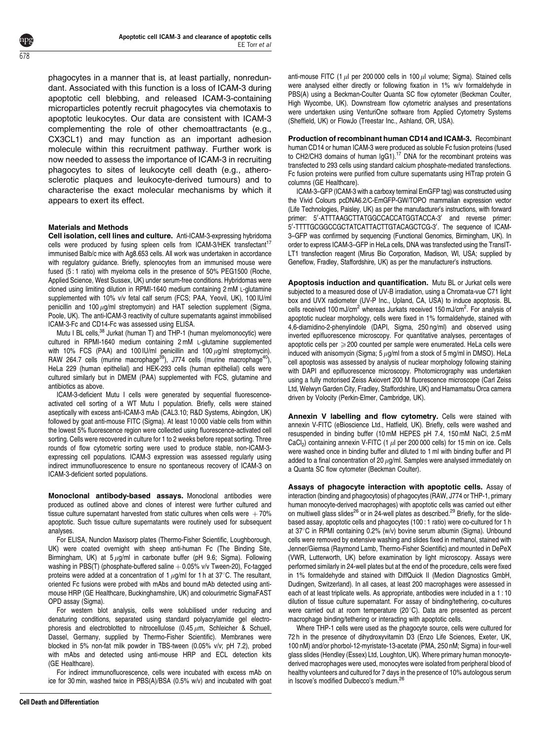phagocytes in a manner that is, at least partially, nonredundant. Associated with this function is a loss of ICAM-3 during apoptotic cell blebbing, and released ICAM-3-containing microparticles potently recruit phagocytes via chemotaxis to apoptotic leukocytes. Our data are consistent with ICAM-3 complementing the role of other chemoattractants (e.g., CX3CL1) and may function as an important adhesion molecule within this recruitment pathway. Further work is now needed to assess the importance of ICAM-3 in recruiting phagocytes to sites of leukocyte cell death (e.g., atherosclerotic plaques and leukocyte-derived tumours) and to characterise the exact molecular mechanisms by which it appears to exert its effect.

#### Materials and Methods

Cell isolation, cell lines and culture. Anti-ICAM-3-expressing hybridoma cells were produced by fusing spleen cells from ICAM-3/HEK transfectant<sup>17</sup> immunised Balb/c mice with Ag8.653 cells. All work was undertaken in accordance with regulatory guidance. Briefly, splenocytes from an immunised mouse were fused (5 : 1 ratio) with myeloma cells in the presence of 50% PEG1500 (Roche, Applied Science, West Sussex, UK) under serum-free conditions. Hybridomas were cloned using limiting dilution in RPMI-1640 medium containing 2 mM L-glutamine supplemented with 10% v/v fetal calf serum (FCS; PAA, Yeovil, UK), 100 IU/ml penicillin and 100  $\mu$ g/ml streptomycin) and HAT selection supplement (Sigma, Poole, UK). The anti-ICAM-3 reactivity of culture supernatants against immobilised ICAM-3-Fc and CD14-Fc was assessed using ELISA.

Mutu I BL cells,<sup>[38](#page-8-0)</sup> Jurkat (human T) and THP-1 (human myelomonocytic) were cultured in RPMI-1640 medium containing 2 mM L-glutamine supplemented with 10% FCS (PAA) and 100 IU/ml penicillin and 100  $\mu$ g/ml streptomycin). RAW 264.7 cells (murine macrophage<sup>[39](#page-8-0)</sup>), J774 cells (murine macrophage<sup>40</sup>), HeLa 229 (human epithelial) and HEK-293 cells (human epithelial) cells were cultured similarly but in DMEM (PAA) supplemented with FCS, glutamine and antibiotics as above.

ICAM-3-deficient Mutu I cells were generated by sequential fluorescenceactivated cell sorting of a WT Mutu I population. Briefly, cells were stained aseptically with excess anti-ICAM-3 mAb (CAL3.10; R&D Systems, Abingdon, UK) followed by goat anti-mouse FITC (Sigma). At least 10 000 viable cells from within the lowest 5% fluorescence region were collected using fluorescence-activated cell sorting. Cells were recovered in culture for 1 to 2 weeks before repeat sorting. Three rounds of flow cytometric sorting were used to produce stable, non-ICAM-3 expressing cell populations. ICAM-3 expression was assessed regularly using indirect immunofluorescence to ensure no spontaneous recovery of ICAM-3 on ICAM-3-deficient sorted populations.

Monoclonal antibody-based assays. Monoclonal antibodies were produced as outlined above and clones of interest were further cultured and tissue culture supernatant harvested from static cultures when cells were  $+70%$ apoptotic. Such tissue culture supernatants were routinely used for subsequent analyses.

For ELISA, Nunclon Maxisorp plates (Thermo-Fisher Scientific, Loughborough, UK) were coated overnight with sheep anti-human Fc (The Binding Site, Birmingham, UK) at  $5 \mu g/ml$  in carbonate buffer (pH 9.6; Sigma). Following washing in PBS(T) (phosphate-buffered saline  $+$  0.05% v/v Tween-20), Fc-tagged proteins were added at a concentration of 1  $\mu$ g/ml for 1 h at 37°C. The resultant, oriented Fc fusions were probed with mAbs and bound mAb detected using antimouse HRP (GE Healthcare, Buckinghamshire, UK) and colourimetric SigmaFAST OPD assay (Sigma).

For western blot analysis, cells were solubilised under reducing and denaturing conditions, separated using standard polyacrylamide gel electrophoresis and electroblotted to nitrocellulose (0.45  $\mu$ m, Schleicher & Schuell, Dassel, Germany, supplied by Thermo-Fisher Scientific). Membranes were blocked in 5% non-fat milk powder in TBS-tween (0.05% v/v; pH 7.2), probed with mAbs and detected using anti-mouse HRP and ECL detection kits (GE Healthcare).

For indirect immunofluorescence, cells were incubated with excess mAb on ice for 30 min, washed twice in PBS(A)/BSA (0.5% w/v) and incubated with goat anti-mouse FITC (1  $\mu$ l per 200 000 cells in 100  $\mu$ l volume; Sigma). Stained cells were analysed either directly or following fixation in 1% w/v formaldehyde in PBS(A) using a Beckman-Coulter Quanta SC flow cytometer (Beckman Coulter, High Wycombe, UK). Downstream flow cytometric analyses and presentations were undertaken using VenturiOne software from Applied Cytometry Systems (Sheffield, UK) or FlowJo (Treestar Inc., Ashland, OR, USA).

Production of recombinant human CD14 and ICAM-3. Recombinant human CD14 or human ICAM-3 were produced as soluble Fc fusion proteins (fused to CH2/CH3 domains of human IgG1).<sup>[17](#page-8-0)</sup> DNA for the recombinant proteins was transfected to 293 cells using standard calcium phosphate-mediated transfections. Fc fusion proteins were purified from culture supernatants using HiTrap protein G columns (GE Healthcare).

ICAM-3–GFP (ICAM-3 with a carboxy terminal EmGFP tag) was constructed using the Vivid Colours pcDNA6.2/C-EmGFP-GW/TOPO mammalian expression vector (Life Technologies, Paisley, UK) as per the manufacturer's instructions, with forward primer: 5'-ATTTAAGCTTATGGCCACCATGGTACCA-3' and reverse primer: 5'-TTTTGCGGCCGCTATCATTACTTGTACAGCTCG-3'. The sequence of ICAM-3–GFP was confirmed by sequencing (Functional Genomics, Birmingham, UK). In order to express ICAM-3–GFP in HeLa cells, DNA was transfected using the TransIT-LT1 transfection reagent (Mirus Bio Corporation, Madison, WI, USA; supplied by Geneflow, Fradley, Staffordshire, UK) as per the manufacturer's instructions.

Apoptosis induction and quantification. Mutu BL or Jurkat cells were subjected to a measured dose of UV-B irradiation, using a Chromata-vue C71 light box and UVX radiometer (UV-P Inc., Upland, CA, USA) to induce apoptosis. BL cells received 100 mJ/cm<sup>2</sup> whereas Jurkats received 150 mJ/cm<sup>2</sup>. For analysis of apoptotic nuclear morphology, cells were fixed in 1% formaldehyde, stained with 4,6-diamidino-2-phenylindole (DAPI, Sigma, 250 ng/ml) and observed using inverted epifluorescence microscopy. For quantitative analyses, percentages of apoptotic cells per  $\geqslant$  200 counted per sample were enumerated. HeLa cells were induced with anisomycin (Sigma;  $5 \mu g/m$  from a stock of 5 mg/ml in DMSO). HeLa cell apoptosis was assessed by analysis of nuclear morphology following staining with DAPI and epifluorescence microscopy. Photomicrography was undertaken using a fully motorised Zeiss Axiovert 200 M fluorescence microscope (Carl Zeiss Ltd, Welwyn Garden City, Fradley, Staffordshire, UK) and Hamamatsu Orca camera driven by Volocity (Perkin-Elmer, Cambridge, UK).

Annexin V labelling and flow cytometry. Cells were stained with annexin V-FITC (eBioscience Ltd., Hatfield, UK). Briefly, cells were washed and resuspended in binding buffer (10 mM HEPES pH 7.4, 150 mM NaCl, 2.5 mM CaCl<sub>2</sub>) containing annexin V-FITC (1  $\mu$ l per 200 000 cells) for 15 min on ice. Cells were washed once in binding buffer and diluted to 1 ml with binding buffer and PI added to a final concentration of 20  $\mu$ g/ml. Samples were analysed immediately on a Quanta SC flow cytometer (Beckman Coulter).

Assays of phagocyte interaction with apoptotic cells. Assay of interaction (binding and phagocytosis) of phagocytes (RAW, J774 or THP-1, primary human monocyte-derived macrophages) with apoptotic cells was carried out either on multiwell glass slides<sup>[26](#page-8-0)</sup> or in 24-well plates as described.<sup>29</sup> Briefly, for the slidebased assay, apoptotic cells and phagocytes (100 : 1 ratio) were co-cultured for 1 h at 37°C in RPMI containing 0.2% (w/v) bovine serum albumin (Sigma). Unbound cells were removed by extensive washing and slides fixed in methanol, stained with Jenner/Giemsa (Raymond Lamb, Thermo-Fisher Scientific) and mounted in DePeX (VWR, Lutterworth, UK) before examination by light microscopy. Assays were performed similarly in 24-well plates but at the end of the procedure, cells were fixed in 1% formaldehyde and stained with DiffQuick II (Medion Diagnostics GmbH, Dudingen, Switzerland). In all cases, at least 200 macrophages were assessed in each of at least triplicate wells. As appropriate, antibodies were included in a 1 : 10 dilution of tissue culture supernatant. For assay of binding/tethering, co-cultures were carried out at room temperature  $(20^{\circ}C)$ . Data are presented as percent macrophage binding/tethering or interacting with apoptotic cells.

Where THP-1 cells were used as the phagocyte source, cells were cultured for 72 h in the presence of dihydroxyvitamin D3 (Enzo Life Sciences, Exeter, UK, 100 nM) and/or phorbol-12-myristate-13-acetate (PMA, 250 nM; Sigma) in four-well glass slides (Hendley (Essex) Ltd, Loughton, UK). Where primary human monocytederived macrophages were used, monocytes were isolated from peripheral blood of healthy volunteers and cultured for 7 days in the presence of 10% autologous serum in Iscove's modified Dulbecco's medium.<sup>[26](#page-8-0)</sup>